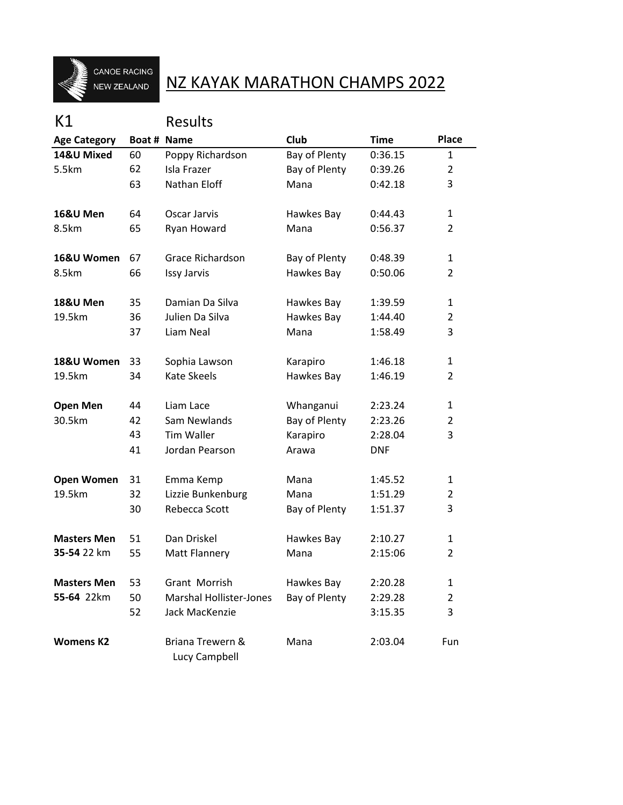

## NZ KAYAK MARATHON CHAMPS 2022

## K1 Results

| <b>Age Category</b> | Boat # Name                                                                        |                                          | Club           | <b>Time</b> | Place          |
|---------------------|------------------------------------------------------------------------------------|------------------------------------------|----------------|-------------|----------------|
| 14&U Mixed          | 60                                                                                 | Poppy Richardson                         | Bay of Plenty  | 0:36.15     | 1              |
| 5.5km               | 62                                                                                 | Isla Frazer                              | Bay of Plenty  | 0:39.26     | $\overline{2}$ |
|                     | 63                                                                                 | Nathan Eloff                             | Mana           | 0:42.18     | 3              |
| 16&U Men            | 64                                                                                 | Oscar Jarvis                             | Hawkes Bay     | 0:44.43     | $\mathbf{1}$   |
| 8.5km               | 65                                                                                 | Ryan Howard                              | Mana           | 0:56.37     | $\overline{2}$ |
| 16&U Women          | 67                                                                                 | Grace Richardson                         | Bay of Plenty  | 0:48.39     | 1              |
| 8.5km               | 66                                                                                 | Issy Jarvis                              | Hawkes Bay     | 0:50.06     | 2              |
| <b>18&amp;U Men</b> | 35                                                                                 | Damian Da Silva                          | Hawkes Bay     | 1:39.59     | 1              |
| 19.5km              | 36                                                                                 | Julien Da Silva<br>Hawkes Bay<br>1:44.40 | $\overline{2}$ |             |                |
|                     | 37                                                                                 | Liam Neal                                | Mana           | 1:58.49     | 3              |
| 18&U Women          | 33                                                                                 | Sophia Lawson                            | Karapiro       | 1:46.18     | 1              |
| 19.5km              | 34                                                                                 | <b>Kate Skeels</b>                       | Hawkes Bay     | 1:46.19     | 2              |
| <b>Open Men</b>     | 44                                                                                 | Liam Lace                                | Whanganui      | 2:23.24     | 1              |
| 30.5km              | 42                                                                                 | Sam Newlands                             | Bay of Plenty  | 2:23.26     | $\overline{2}$ |
|                     | 43<br><b>Tim Waller</b><br>Karapiro<br>Jordan Pearson<br>41<br>Arawa<br><b>DNF</b> | 2:28.04                                  | 3              |             |                |
|                     |                                                                                    |                                          |                |             |                |
| <b>Open Women</b>   | 31                                                                                 | Emma Kemp                                | Mana           | 1:45.52     | $\mathbf{1}$   |
| 19.5km              | 32                                                                                 | Lizzie Bunkenburg                        | Mana           | 1:51.29     | 2              |
|                     | 30                                                                                 | Rebecca Scott                            | Bay of Plenty  | 1:51.37     | 3              |
| <b>Masters Men</b>  | 51                                                                                 | Dan Driskel                              | Hawkes Bay     | 2:10.27     | 1              |
| 35-54 22 km         | 55                                                                                 | <b>Matt Flannery</b>                     | Mana           | 2:15:06     | 2              |
| <b>Masters Men</b>  | 53                                                                                 | Grant Morrish                            | Hawkes Bay     | 2:20.28     | 1              |
| 55-64 22km          | 50                                                                                 | <b>Marshal Hollister-Jones</b>           | Bay of Plenty  | 2:29.28     | $\overline{2}$ |
|                     | 52                                                                                 | Jack MacKenzie                           |                | 3:15.35     | 3              |
| <b>Womens K2</b>    |                                                                                    | Briana Trewern &<br>Lucy Campbell        | Mana           | 2:03.04     | <b>Fun</b>     |